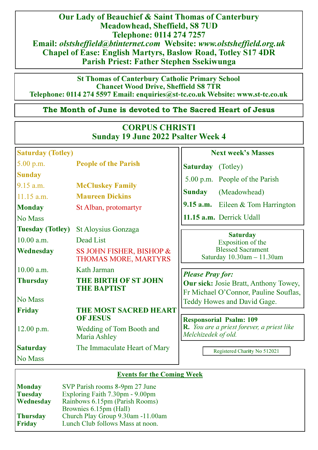Our Lady of Beauchief & Saint Thomas of Canterbury Meadowhead, Sheffield, S8 7UD Telephone: 0114 274 7257 Email: olstsheffield@btinternet.com Website: www.olstsheffield.org.uk Chapel of Ease: English Martyrs, Baslow Road, Totley S17 4DR Parish Priest: Father Stephen Ssekiwunga

St Thomas of Canterbury Catholic Primary School Chancet Wood Drive, Sheffield S8 7TR Telephone: 0114 274 5597 Email: enquiries@st**-**tc.co.uk Website: www.st**-**tc.co.uk

# The Month of June is devoted to The Sacred Heart of Jesus

| <b>CORPUS CHRISTI</b><br><b>Sunday 19 June 2022 Psalter Week 4</b> |                                                                              |                                                                                |  |  |
|--------------------------------------------------------------------|------------------------------------------------------------------------------|--------------------------------------------------------------------------------|--|--|
| <b>Saturday (Totley)</b>                                           |                                                                              | <b>Next week's Masses</b>                                                      |  |  |
| 5.00 p.m.                                                          | <b>People of the Parish</b>                                                  | <b>Saturday</b> (Totley)                                                       |  |  |
| <b>Sunday</b>                                                      |                                                                              | 5.00 p.m. People of the Parish                                                 |  |  |
| $9.15$ a.m.<br>$11.15$ a.m.                                        | <b>McCluskey Family</b><br><b>Sunday</b><br><b>Maureen Dickins</b>           | (Meadowhead)                                                                   |  |  |
| <b>Monday</b><br>No Mass                                           | St Alban, protomartyr                                                        | 9.15 $a.m.$ Eileen $& Tom$ Harrington<br>11.15 a.m. Derrick Udall              |  |  |
| <b>Tuesday (Totley)</b>                                            | St Aloysius Gonzaga                                                          |                                                                                |  |  |
| 10.00 a.m.                                                         | Dead List                                                                    | <b>Saturday</b><br>Exposition of the                                           |  |  |
| <b>Wednesday</b>                                                   | SS JOHN FISHER, BISHOP &<br>THOMAS MORE, MARTYRS                             | <b>Blessed Sacrament</b><br>Saturday 10.30am - 11.30am                         |  |  |
| 10.00 a.m.                                                         | Kath Jarman                                                                  |                                                                                |  |  |
| <b>Thursday</b>                                                    | <b>Please Pray for:</b><br><b>THE BIRTH OF ST JOHN</b><br><b>THE BAPTIST</b> | Our sick: Josie Bratt, Anthony Towey,<br>Fr Michael O'Connor, Pauline Souflas, |  |  |
| No Mass                                                            |                                                                              | Teddy Howes and David Gage.                                                    |  |  |
| <b>Friday</b>                                                      | <b>THE MOST SACRED HEART</b><br><b>OF JESUS</b>                              | <b>Responsorial Psalm: 109</b>                                                 |  |  |
| 12.00 p.m.                                                         | Wedding of Tom Booth and<br>Maria Ashley                                     | R. You are a priest forever, a priest like<br>Melchizedek of old.              |  |  |
| <b>Saturday</b>                                                    | The Immaculate Heart of Mary                                                 | Registered Charity No 512021                                                   |  |  |
| No Mass                                                            |                                                                              |                                                                                |  |  |

# Events for the Coming Week

| <b>Monday</b>   | SVP Parish rooms 8-9pm 27 June    |
|-----------------|-----------------------------------|
| <b>Tuesday</b>  | Exploring Faith 7.30pm - 9.00pm   |
| Wednesday       | Rainbows 6.15pm (Parish Rooms)    |
|                 | Brownies 6.15pm (Hall)            |
| <b>Thursday</b> | Church Play Group 9.30am -11.00am |
| <b>Friday</b>   | Lunch Club follows Mass at noon.  |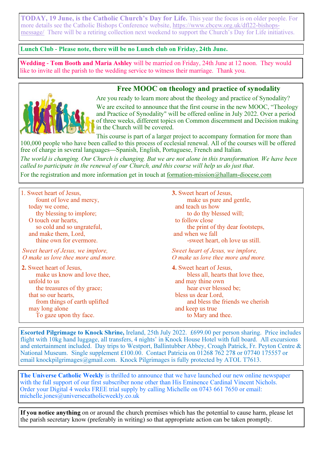TODAY, 19 June, is the Catholic Church's Day for Life. This year the focus is on older people. For more details see the Catholic Bishops Conference website, https://www.cbcew.org.uk/dfl22-bishopsmessage/ There will be a retiring collection next weekend to support the Church's Day for Life initiatives.

### Lunch Club **-** Please note, there will be no Lunch club on Friday, 24th June.

Wedding **-** Tom Booth and Maria Ashley will be married on Friday, 24th June at 12 noon. They would like to invite all the parish to the wedding service to witness their marriage. Thank you.

### Free MOOC on theology and practice of synodality



Are you ready to learn more about the theology and practice of Synodality?

We are excited to announce that the first course in the new MOOC, "Theology and Practice of Synodality" will be offered online in July 2022. Over a period of three weeks, different topics on Common discernment and Decision making in the Church will be covered.

This course is part of a larger project to accompany formation for more than 100,000 people who have been called to this process of ecclesial renewal. All of the courses will be offered free of charge in several languages—Spanish, English, Portuguese, French and Italian.

The world is changing. Our Church is changing. But we are not alone in this transformation. We have been called to participate in the renewal of our Church, and this course will help us do just that.

For the registration and more information get in touch at formation-mission@hallam-diocese.com

| 1. Sweet heart of Jesus,           | 3. Sweet heart of Jesus,           |
|------------------------------------|------------------------------------|
| fount of love and mercy,           | make us pure and gentle,           |
| today we come,                     | and teach us how                   |
| thy blessing to implore;           | to do thy blessed will;            |
| O touch our hearts,                | to follow close                    |
| so cold and so ungrateful,         | the print of thy dear footsteps,   |
| and make them, Lord,               | and when we fall                   |
| thine own for evermore.            | -sweet heart, oh love us still.    |
| Sweet heart of Jesus, we implore,  | Sweet heart of Jesus, we implore,  |
| O make us love thee more and more. | O make us love thee more and more. |
| 2. Sweet heart of Jesus,           | 4. Sweet heart of Jesus,           |
| make us know and love thee,        | bless all, hearts that love thee,  |
| unfold to us                       | and may thine own                  |
| the treasures of thy grace;        | hear ever blessed be;              |
| that so our hearts,                | bless us dear Lord,                |
| from things of earth uplifted      | and bless the friends we cherish   |
| may long alone                     | and keep us true                   |
| To gaze upon thy face.             | to Mary and thee.                  |

Escorted Pilgrimage to Knock Shrine, Ireland, 25th July 2022. £699.00 per person sharing. Price includes flight with 10kg hand luggage, all transfers, 4 nights' in Knock House Hotel with full board. All excursions and entertainment included. Day trips to Westport, Ballintubber Abbey, Croagh Patrick, Fr. Peyton Centre & National Museum. Single supplement £100.00. Contact Patricia on 01268 762 278 or 07740 175557 or email knockpilgrimages@gmail.com. Knock Pilgrimages is fully protected by ATOL T7613.

The Universe Catholic Weekly is thrilled to announce that we have launched our new online newspaper with the full support of our first subscriber none other than His Eminence Cardinal Vincent Nichols. Order your Digital 4 weeks FREE trial supply by calling Michelle on 0743 661 7650 or email: michelle.jones@universecatholicweekly.co.uk

If you notice anything on or around the church premises which has the potential to cause harm, please let the parish secretary know (preferably in writing) so that appropriate action can be taken promptly.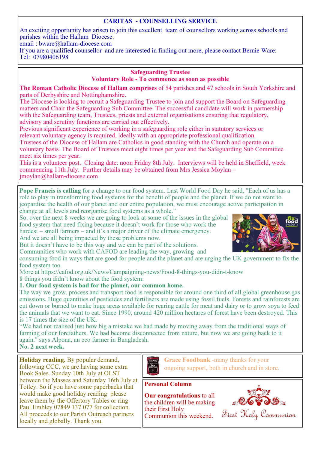## CARITAS **-** COUNSELLING SERVICE

An exciting opportunity has arisen to join this excellent team of counsellors working across schools and parishes within the Hallam Diocese.

email : bware@hallam-diocese.com

If you are a qualified counsellor and are interested in finding out more, please contact Bernie Ware: Tel: 07980406198

### Safeguarding Trustee Voluntary Role **-** To commence as soon as possible

**The Roman Catholic Diocese of Hallam comprises** of 54 parishes and 47 schools in South Yorkshire and parts of Derbyshire and Nottinghamshire.

The Diocese is looking to recruit a Safeguarding Trustee to join and support the Board on Safeguarding matters and Chair the Safeguarding Sub Committee. The successful candidate will work in partnership with the Safeguarding team, Trustees, priests and external organisations ensuring that regulatory, advisory and scrutiny functions are carried out effectively.

Previous significant experience of working in a safeguarding role either in statutory services or relevant voluntary agency is required, ideally with an appropriate professional qualification.

Trustees of the Diocese of Hallam are Catholics in good standing with the Church and operate on a voluntary basis. The Board of Trustees meet eight times per year and the Safeguarding Sub Committee meet six times per year.

This is a volunteer post. Closing date: noon Friday 8th July. Interviews will be held in Sheffield, week commencing 11th July. Further details may be obtained from Mrs Jessica Moylan – jmoylan@hallam-diocese.com

Pope Francis is calling for a change to our food system. Last World Food Day he said, "Each of us has a role to play in transforming food systems for the benefit of people and the planet. If we do not want to jeopardise the health of our planet and our entire population, we must encourage active participation in change at all levels and reorganise food systems as a whole."

So. over the next 8 weeks we are going to look at some of the issues in the global food system that need fixing because it doesn't work for those who work the hardest – small farmers – and it's a major driver of the climate emergency.

And we are all being impacted by these problems now.

But it doesn't have to be this way and we can be part of the solutions.

Communities who work with CAFOD are leading the way, growing and consuming food in ways that are good for people and the planet and are urging the UK government to fix the food system too.

More at https://cafod.org.uk/News/Campaigning-news/Food-8-things-you-didn-t-know 8 things you didn't know about the food system:

## 1. Our food system is bad for the planet, our common home.

The way we grow, process and transport food is responsible for around one third of all global greenhouse gas emissions. Huge quantities of pesticides and fertilisers are made using fossil fuels. Forests and rainforests are cut down or burned to make huge areas available for rearing cattle for meat and dairy or to grow soya to feed the animals that we want to eat. Since 1990, around 420 million hectares of forest have been destroyed. This is 17 times the size of the UK.

"We had not realised just how big a mistake we had made by moving away from the traditional ways of farming of our forefathers. We had become disconnected from nature, but now we are going back to it again." says Alpona, an eco farmer in Bangladesh.

No. 2 next week.

Holiday reading. By popular demand, following CCC, we are having some extra Book Sales. Sunday 10th July at OLST between the Masses and Saturday 16th July at Totley. So if you have some paperbacks that would make good holiday reading please leave them by the Offertory Tables or ring Paul Embley 07849 137 077 for collection. All proceeds to our Parish Outreach partners locally and globally. Thank you.



Grace Foodbank -many thanks for your ongoing support, both in church and in store.

## Personal Column

Our congratulations to all the children will be making their First Holy Communion this weekend.